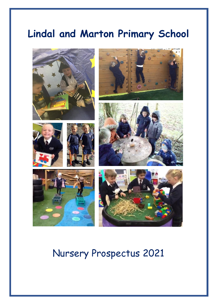## **Lindal and Marton Primary School**



## Nursery Prospectus 2021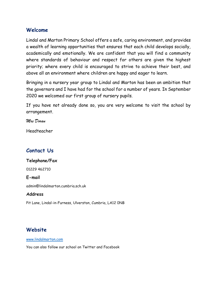#### **Welcome**

Lindal and Marton Primary School offers a safe, caring environment, and provides a wealth of learning opportunities that ensures that each child develops socially, academically and emotionally. We are confident that you will find a community where standards of behaviour and respect for others are given the highest priority; where every child is encouraged to strive to achieve their best, and above all an environment where children are happy and eager to learn.

Bringing in a nursery year group to Lindal and Marton has been an ambition that the governors and I have had for the school for a number of years. In September 2020 we welcomed our first group of nursery pupils.

If you have not already done so, you are very welcome to visit the school by arrangement.

*Mrs Doran*

Headteacher

## **Contact Us**

#### **Telephone/Fax**

01229 462710

#### **E-mail**

admin@lindalmarton.cumbria.sch.uk

#### **Address**

Pit Lane, Lindal-in-Furness, Ulverston, Cumbria, LA12 0NB

## **Website**

[www.lindalmarton.com](http://www.lindalmarton.com/)

You can also follow our school on Twitter and Facebook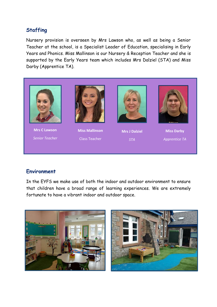## **Staffing**

Nursery provision is overseen by Mrs Lawson who, as well as being a Senior Teacher at the school, is a Specialist Leader of Education, specialising in Early Years and Phonics. Miss Mallinson is our Nursery & Reception Teacher and she is supported by the Early Years team which includes Mrs Dalziel (STA) and Miss Darby (Apprentice TA).



## **Environment**

In the EYFS we make use of both the indoor and outdoor environment to ensure that children have a broad range of learning experiences. We are extremely fortunate to have a vibrant indoor and outdoor space.

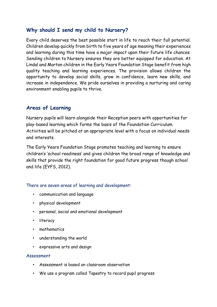## **Why should I send my child to Nursery?**

Every child deserves the best possible start in life to reach their full potential. Children develop quickly from birth to five years of age meaning their experiences and learning during this time have a major impact upon their future life chances. Sending children to Nursery ensures they are better equipped for education. At Lindal and Marton children in the Early Years Foundation Stage benefit from high quality teaching and learning experiences. The provision allows children the opportunity to develop social skills, grow in confidence, learn new skills, and increase in independence. We pride ourselves in providing a nurturing and caring environment enabling pupils to thrive.

## **Areas of Learning**

Nursery pupils will learn alongside their Reception peers with opportunities for play-based learning which forms the basis of the Foundation Curriculum. Activities will be pitched at an appropriate level with a focus on individual needs and interests.

The Early Years Foundation Stage promotes teaching and learning to ensure children's 'school readiness' and gives children the broad range of knowledge and skills that provide the right foundation for good future progress though school and life (EYFS, 2012).

#### There are seven areas of learning and development:

- communication and language
- physical development
- personal, social and emotional development
- literacy
- mathematics
- understanding the world
- expressive arts and design

#### Assessment

- Assessment is based on classroom observation
- We use a program called Tapestry to record pupil progress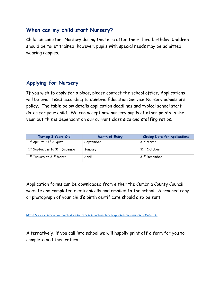### **When can my child start Nursery?**

Children can start Nursery during the term after their third birthday. Children should be toilet trained, however, pupils with special needs may be admitted wearing nappies.

## **Applying for Nursery**

If you wish to apply for a place, please contact the school office. Applications will be prioritised according to Cumbria Education Service Nursery admissions policy. The table below details application deadlines and typical school start dates for your child. We can accept new nursery pupils at other points in the year but this is dependant on our current class size and staffing ratios.

| Turning 3 Years Old                   | Month of Entry | <b>Closing Date for Applications</b> |
|---------------------------------------|----------------|--------------------------------------|
| $1st$ April to $31st$ August          | September      | 31 <sup>st</sup> March               |
| 1st September to 31st December        | January        | 31 <sup>st</sup> October             |
| 1 <sup>st</sup> January to 31st March | April          | 31 <sup>st</sup> December            |

Application forms can be downloaded from either the Cumbria County Council website and completed electronically and emailed to the school. A scanned copy or photograph of your child's birth certificate should also be sent.

<https://www.cumbria.gov.uk/childrensservices/schoolsandlearning/lss/nursery/nursery15-16.asp>

Alternatively, if you call into school we will happily print off a form for you to complete and then return.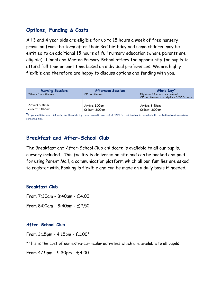## **Options, Funding & Costs**

All 3 and 4 year olds are eligible for up to 15 hours a week of free nursery provision from the term after their 3rd birthday and some children may be entitled to an additional 15 hours of full nursery education (where parents are eligible). Lindal and Marton Primary School offers the opportunity for pupils to attend full time or part time based on individual preferences. We are highly flexible and therefore are happy to discuss options and funding with you.

| <b>Morning Sessions</b><br>15 hours free entitlement | <b>Afternoon Sessions</b><br>£10 per afternoon | Whole Day*<br>Eligible for 30 hours - code required,<br>£10 per afternoon if not eligible + £2.50 for lunch |
|------------------------------------------------------|------------------------------------------------|-------------------------------------------------------------------------------------------------------------|
| Arrive: 8:40am                                       | Arrive: 1:00pm                                 | Arrive: 8:40am                                                                                              |
| Collect: 11:45am                                     | Collect: 3:00pm                                | Collect: 3:00pm                                                                                             |

 $\star$  If you would like your child to stay for the whole day, there is an additional cost of £2.20 for their lunch which includes both a packed lunch and supervision during this time.

## **Breakfast and After-School Club**

The Breakfast and After-School Club childcare is available to all our pupils, nursery included. This facility is delivered on site and can be booked and paid for using Parent Mail, a communication platform which all our families are asked to register with. Booking is flexible and can be made on a daily basis if needed.

#### **Breakfast Club**

From 7:30am - 8:40am - £4.00 From 8:00am – 8:40am - £2.50

#### **After-School Club**

From 3:15pm - 4:15pm - £1.00\* \*This is the cost of our extra-curricular activities which are available to all pupils From 4:15pm - 5:30pm - £4.00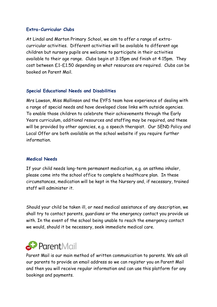#### **Extra-Curricular Clubs**

At Lindal and Marton Primary School, we aim to offer a range of extracurricular activities. Different activities will be available to different age children but nursery pupils are welcome to participate in their activities available to their age range. Clubs begin at 3:15pm and finish at 4:15pm. They cost between £1-£1.50 depending on what resources are required. Clubs can be booked on Parent Mail.

#### **Special Educational Needs and Disabilities**

Mrs Lawson, Miss Mallinson and the EYFS team have experience of dealing with a range of special needs and have developed close links with outside agencies. To enable those children to celebrate their achievements through the Early Years curriculum, additional resources and staffing may be required, and these will be provided by other agencies, e.g. a speech therapist. Our SEND Policy and Local Offer are both available on the school website if you require further information.

#### **Medical Needs**

If your child needs long-term permanent medication, e.g. an asthma inhaler, please come into the school office to complete a healthcare plan. In these circumstances, medication will be kept in the Nursery and, if necessary, trained staff will administer it.

Should your child be taken ill, or need medical assistance of any description, we shall try to contact parents, guardians or the emergency contact you provide us with. In the event of the school being unable to reach the emergency contact we would, should it be necessary, seek immediate medical care.

# ParentMail

Parent Mail is our main method of written communication to parents. We ask all our parents to provide an email address so we can register you on Parent Mail and then you will receive regular information and can use this platform for any bookings and payments.